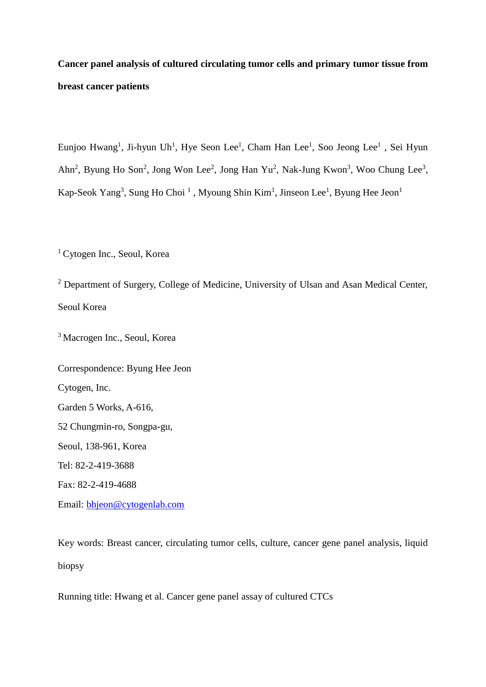# **Cancer panel analysis of cultured circulating tumor cells and primary tumor tissue from breast cancer patients**

Eunjoo Hwang<sup>1</sup>, Ji-hyun Uh<sup>1</sup>, Hye Seon Lee<sup>1</sup>, Cham Han Lee<sup>1</sup>, Soo Jeong Lee<sup>1</sup>, Sei Hyun Ahn<sup>2</sup>, Byung Ho Son<sup>2</sup>, Jong Won Lee<sup>2</sup>, Jong Han Yu<sup>2</sup>, Nak-Jung Kwon<sup>3</sup>, Woo Chung Lee<sup>3</sup>, Kap-Seok Yang<sup>3</sup>, Sung Ho Choi<sup>1</sup>, Myoung Shin Kim<sup>1</sup>, Jinseon Lee<sup>1</sup>, Byung Hee Jeon<sup>1</sup>

<sup>1</sup> Cytogen Inc., Seoul, Korea

<sup>2</sup> Department of Surgery, College of Medicine, University of Ulsan and Asan Medical Center, Seoul Korea

<sup>3</sup>Macrogen Inc., Seoul, Korea

Correspondence: Byung Hee Jeon Cytogen, Inc. Garden 5 Works, A-616, 52 Chungmin-ro, Songpa-gu, Seoul, 138-961, Korea Tel: 82-2-419-3688 Fax: 82-2-419-4688

Email: [bhjeon@cytogenlab.com](mailto:bhjeon@cytogenlab.com)

Key words: Breast cancer, circulating tumor cells, culture, cancer gene panel analysis, liquid biopsy

Running title: Hwang et al. Cancer gene panel assay of cultured CTCs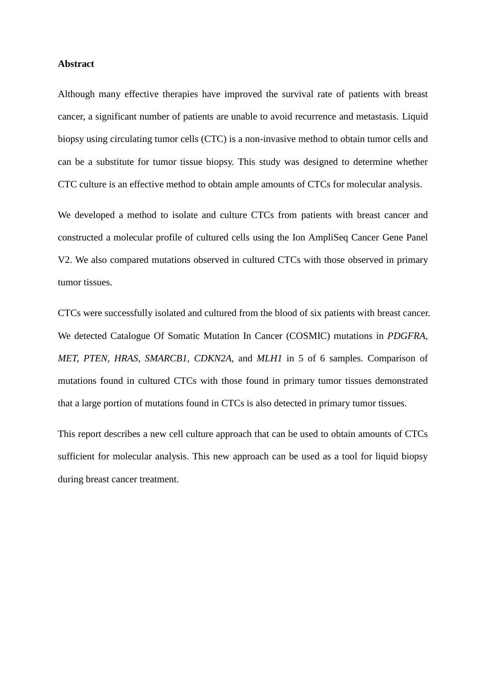#### **Abstract**

Although many effective therapies have improved the survival rate of patients with breast cancer, a significant number of patients are unable to avoid recurrence and metastasis. Liquid biopsy using circulating tumor cells (CTC) is a non-invasive method to obtain tumor cells and can be a substitute for tumor tissue biopsy. This study was designed to determine whether CTC culture is an effective method to obtain ample amounts of CTCs for molecular analysis.

We developed a method to isolate and culture CTCs from patients with breast cancer and constructed a molecular profile of cultured cells using the Ion AmpliSeq Cancer Gene Panel V2. We also compared mutations observed in cultured CTCs with those observed in primary tumor tissues.

CTCs were successfully isolated and cultured from the blood of six patients with breast cancer. We detected Catalogue Of Somatic Mutation In Cancer (COSMIC) mutations in *PDGFRA, MET, PTEN, HRAS, SMARCB1, CDKN2A*, and *MLH1* in 5 of 6 samples. Comparison of mutations found in cultured CTCs with those found in primary tumor tissues demonstrated that a large portion of mutations found in CTCs is also detected in primary tumor tissues.

This report describes a new cell culture approach that can be used to obtain amounts of CTCs sufficient for molecular analysis. This new approach can be used as a tool for liquid biopsy during breast cancer treatment.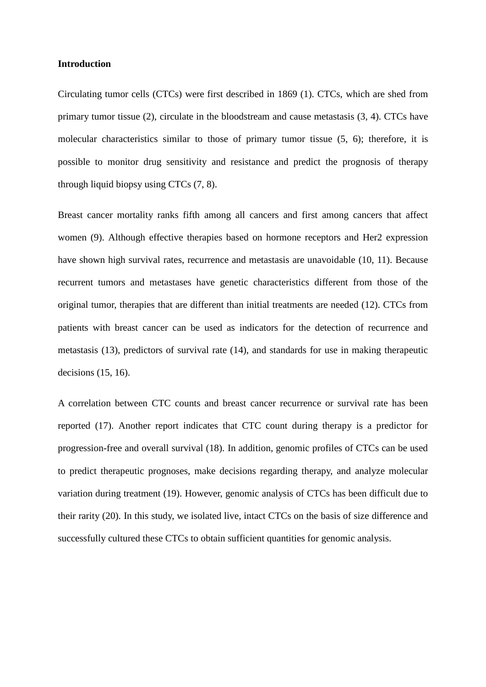#### **Introduction**

Circulating tumor cells (CTCs) were first described in 1869 (1). CTCs, which are shed from primary tumor tissue (2), circulate in the bloodstream and cause metastasis (3, 4). CTCs have molecular characteristics similar to those of primary tumor tissue (5, 6); therefore, it is possible to monitor drug sensitivity and resistance and predict the prognosis of therapy through liquid biopsy using CTCs (7, 8).

Breast cancer mortality ranks fifth among all cancers and first among cancers that affect women (9). Although effective therapies based on hormone receptors and Her2 expression have shown high survival rates, recurrence and metastasis are unavoidable (10, 11). Because recurrent tumors and metastases have genetic characteristics different from those of the original tumor, therapies that are different than initial treatments are needed (12). CTCs from patients with breast cancer can be used as indicators for the detection of recurrence and metastasis (13), predictors of survival rate (14), and standards for use in making therapeutic decisions (15, 16).

A correlation between CTC counts and breast cancer recurrence or survival rate has been reported (17). Another report indicates that CTC count during therapy is a predictor for progression-free and overall survival (18). In addition, genomic profiles of CTCs can be used to predict therapeutic prognoses, make decisions regarding therapy, and analyze molecular variation during treatment (19). However, genomic analysis of CTCs has been difficult due to their rarity (20). In this study, we isolated live, intact CTCs on the basis of size difference and successfully cultured these CTCs to obtain sufficient quantities for genomic analysis.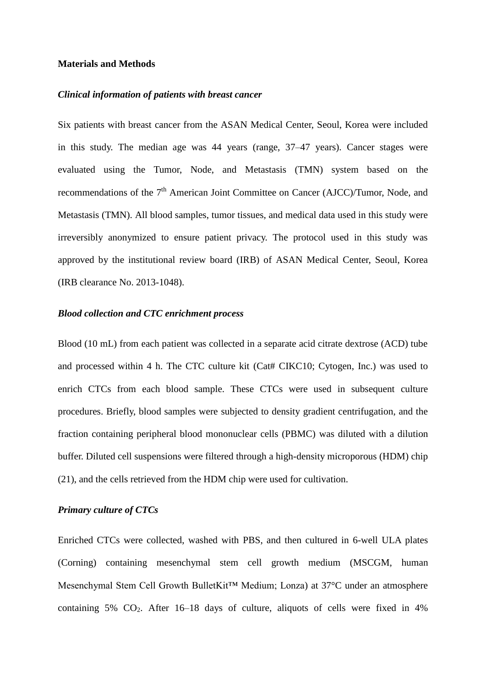#### **Materials and Methods**

#### *Clinical information of patients with breast cancer*

Six patients with breast cancer from the ASAN Medical Center, Seoul, Korea were included in this study. The median age was 44 years (range, 37–47 years). Cancer stages were evaluated using the Tumor, Node, and Metastasis (TMN) system based on the recommendations of the 7<sup>th</sup> American Joint Committee on Cancer (AJCC)/Tumor, Node, and Metastasis (TMN). All blood samples, tumor tissues, and medical data used in this study were irreversibly anonymized to ensure patient privacy. The protocol used in this study was approved by the institutional review board (IRB) of ASAN Medical Center, Seoul, Korea (IRB clearance No. 2013-1048).

#### *Blood collection and CTC enrichment process*

Blood (10 mL) from each patient was collected in a separate acid citrate dextrose (ACD) tube and processed within 4 h. The CTC culture kit (Cat# CIKC10; Cytogen, Inc.) was used to enrich CTCs from each blood sample. These CTCs were used in subsequent culture procedures. Briefly, blood samples were subjected to density gradient centrifugation, and the fraction containing peripheral blood mononuclear cells (PBMC) was diluted with a dilution buffer. Diluted cell suspensions were filtered through a high-density microporous (HDM) chip (21), and the cells retrieved from the HDM chip were used for cultivation.

#### *Primary culture of CTCs*

Enriched CTCs were collected, washed with PBS, and then cultured in 6-well ULA plates (Corning) containing mesenchymal stem cell growth medium (MSCGM, human Mesenchymal Stem Cell Growth BulletKit™ Medium; Lonza) at 37°C under an atmosphere containing 5% CO2. After 16–18 days of culture, aliquots of cells were fixed in 4%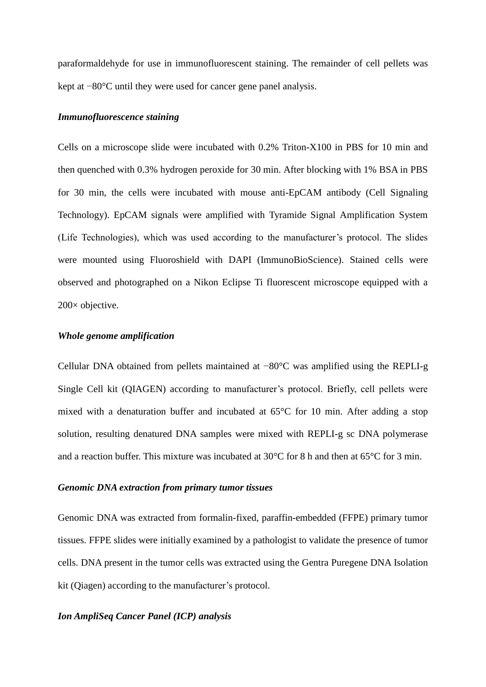paraformaldehyde for use in immunofluorescent staining. The remainder of cell pellets was kept at −80°C until they were used for cancer gene panel analysis.

#### *Immunofluorescence staining*

Cells on a microscope slide were incubated with 0.2% Triton-X100 in PBS for 10 min and then quenched with 0.3% hydrogen peroxide for 30 min. After blocking with 1% BSA in PBS for 30 min, the cells were incubated with mouse anti-EpCAM antibody (Cell Signaling Technology). EpCAM signals were amplified with Tyramide Signal Amplification System (Life Technologies), which was used according to the manufacturer's protocol. The slides were mounted using Fluoroshield with DAPI (ImmunoBioScience). Stained cells were observed and photographed on a Nikon Eclipse Ti fluorescent microscope equipped with a 200× objective.

#### *Whole genome amplification*

Cellular DNA obtained from pellets maintained at −80°C was amplified using the REPLI-g Single Cell kit (QIAGEN) according to manufacturer's protocol. Briefly, cell pellets were mixed with a denaturation buffer and incubated at 65°C for 10 min. After adding a stop solution, resulting denatured DNA samples were mixed with REPLI-g sc DNA polymerase and a reaction buffer. This mixture was incubated at 30°C for 8 h and then at 65°C for 3 min.

#### *Genomic DNA extraction from primary tumor tissues*

Genomic DNA was extracted from formalin-fixed, paraffin-embedded (FFPE) primary tumor tissues. FFPE slides were initially examined by a pathologist to validate the presence of tumor cells. DNA present in the tumor cells was extracted using the Gentra Puregene DNA Isolation kit (Qiagen) according to the manufacturer's protocol.

#### *Ion AmpliSeq Cancer Panel (ICP) analysis*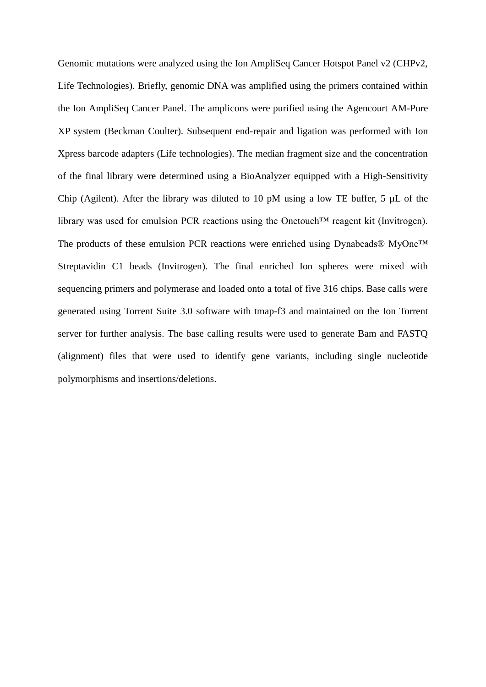Genomic mutations were analyzed using the Ion AmpliSeq Cancer Hotspot Panel v2 (CHPv2, Life Technologies). Briefly, genomic DNA was amplified using the primers contained within the Ion AmpliSeq Cancer Panel. The amplicons were purified using the Agencourt AM-Pure XP system (Beckman Coulter). Subsequent end-repair and ligation was performed with Ion Xpress barcode adapters (Life technologies). The median fragment size and the concentration of the final library were determined using a BioAnalyzer equipped with a High-Sensitivity Chip (Agilent). After the library was diluted to 10 pM using a low TE buffer, 5  $\mu$ L of the library was used for emulsion PCR reactions using the Onetouch™ reagent kit (Invitrogen). The products of these emulsion PCR reactions were enriched using Dynabeads® MyOne<sup>™</sup> Streptavidin C1 beads (Invitrogen). The final enriched Ion spheres were mixed with sequencing primers and polymerase and loaded onto a total of five 316 chips. Base calls were generated using Torrent Suite 3.0 software with tmap-f3 and maintained on the Ion Torrent server for further analysis. The base calling results were used to generate Bam and FASTQ (alignment) files that were used to identify gene variants, including single nucleotide polymorphisms and insertions/deletions.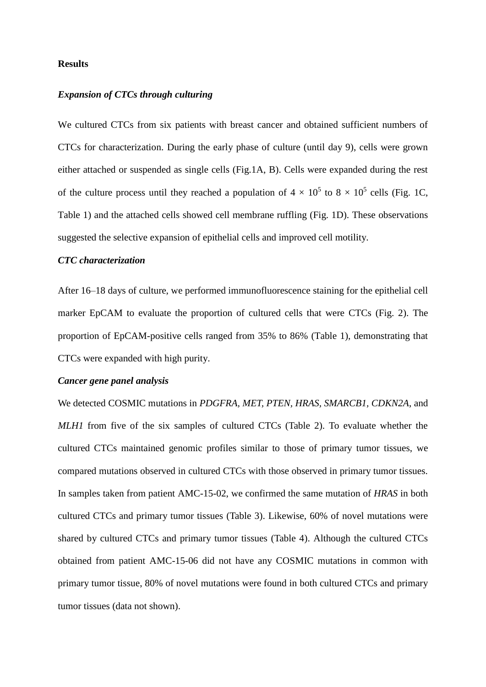#### **Results**

#### *Expansion of CTCs through culturing*

We cultured CTCs from six patients with breast cancer and obtained sufficient numbers of CTCs for characterization. During the early phase of culture (until day 9), cells were grown either attached or suspended as single cells (Fig.1A, B). Cells were expanded during the rest of the culture process until they reached a population of  $4 \times 10^5$  to  $8 \times 10^5$  cells (Fig. 1C, Table 1) and the attached cells showed cell membrane ruffling (Fig. 1D). These observations suggested the selective expansion of epithelial cells and improved cell motility.

#### *CTC characterization*

After 16–18 days of culture, we performed immunofluorescence staining for the epithelial cell marker EpCAM to evaluate the proportion of cultured cells that were CTCs (Fig. 2). The proportion of EpCAM-positive cells ranged from 35% to 86% (Table 1), demonstrating that CTCs were expanded with high purity.

#### *Cancer gene panel analysis*

We detected COSMIC mutations in *PDGFRA, MET, PTEN, HRAS, SMARCB1, CDKN2A*, and *MLH1* from five of the six samples of cultured CTCs (Table 2). To evaluate whether the cultured CTCs maintained genomic profiles similar to those of primary tumor tissues, we compared mutations observed in cultured CTCs with those observed in primary tumor tissues. In samples taken from patient AMC-15-02, we confirmed the same mutation of *HRAS* in both cultured CTCs and primary tumor tissues (Table 3). Likewise, 60% of novel mutations were shared by cultured CTCs and primary tumor tissues (Table 4). Although the cultured CTCs obtained from patient AMC-15-06 did not have any COSMIC mutations in common with primary tumor tissue, 80% of novel mutations were found in both cultured CTCs and primary tumor tissues (data not shown).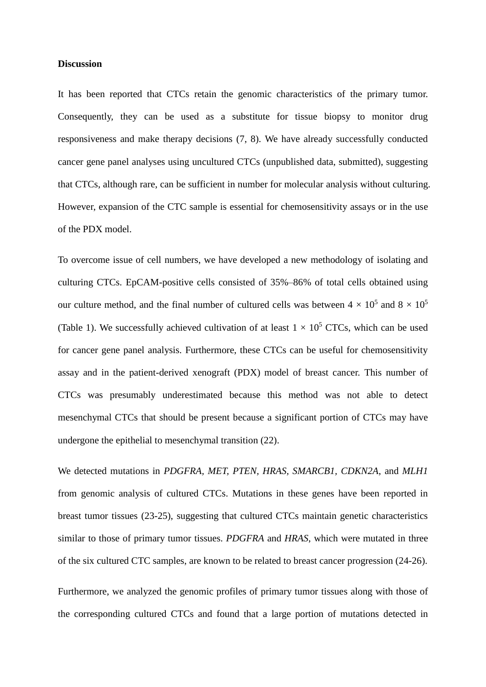#### **Discussion**

It has been reported that CTCs retain the genomic characteristics of the primary tumor. Consequently, they can be used as a substitute for tissue biopsy to monitor drug responsiveness and make therapy decisions (7, 8). We have already successfully conducted cancer gene panel analyses using uncultured CTCs (unpublished data, submitted), suggesting that CTCs, although rare, can be sufficient in number for molecular analysis without culturing. However, expansion of the CTC sample is essential for chemosensitivity assays or in the use of the PDX model.

To overcome issue of cell numbers, we have developed a new methodology of isolating and culturing CTCs. EpCAM-positive cells consisted of 35%–86% of total cells obtained using our culture method, and the final number of cultured cells was between  $4 \times 10^5$  and  $8 \times 10^5$ (Table 1). We successfully achieved cultivation of at least  $1 \times 10^5$  CTCs, which can be used for cancer gene panel analysis. Furthermore, these CTCs can be useful for chemosensitivity assay and in the patient-derived xenograft (PDX) model of breast cancer. This number of CTCs was presumably underestimated because this method was not able to detect mesenchymal CTCs that should be present because a significant portion of CTCs may have undergone the epithelial to mesenchymal transition (22).

We detected mutations in *PDGFRA, MET, PTEN, HRAS, SMARCB1, CDKN2A*, and *MLH1* from genomic analysis of cultured CTCs. Mutations in these genes have been reported in breast tumor tissues (23-25), suggesting that cultured CTCs maintain genetic characteristics similar to those of primary tumor tissues. *PDGFRA* and *HRAS*, which were mutated in three of the six cultured CTC samples, are known to be related to breast cancer progression (24-26).

Furthermore, we analyzed the genomic profiles of primary tumor tissues along with those of the corresponding cultured CTCs and found that a large portion of mutations detected in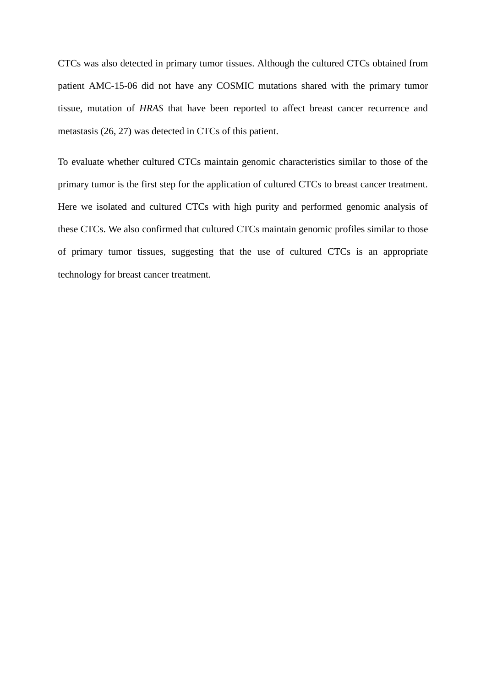CTCs was also detected in primary tumor tissues. Although the cultured CTCs obtained from patient AMC-15-06 did not have any COSMIC mutations shared with the primary tumor tissue, mutation of *HRAS* that have been reported to affect breast cancer recurrence and metastasis (26, 27) was detected in CTCs of this patient.

To evaluate whether cultured CTCs maintain genomic characteristics similar to those of the primary tumor is the first step for the application of cultured CTCs to breast cancer treatment. Here we isolated and cultured CTCs with high purity and performed genomic analysis of these CTCs. We also confirmed that cultured CTCs maintain genomic profiles similar to those of primary tumor tissues, suggesting that the use of cultured CTCs is an appropriate technology for breast cancer treatment.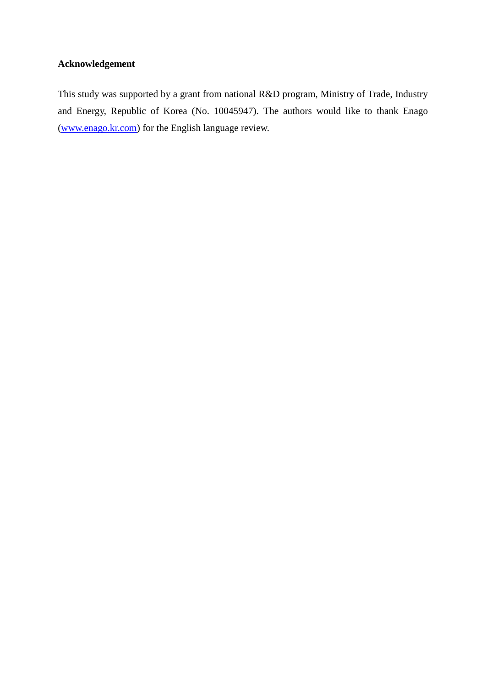### **Acknowledgement**

This study was supported by a grant from national R&D program, Ministry of Trade, Industry and Energy, Republic of Korea (No. 10045947). The authors would like to thank Enago [\(www.enago.kr.com\)](http://www.enago.kr.com/) for the English language review.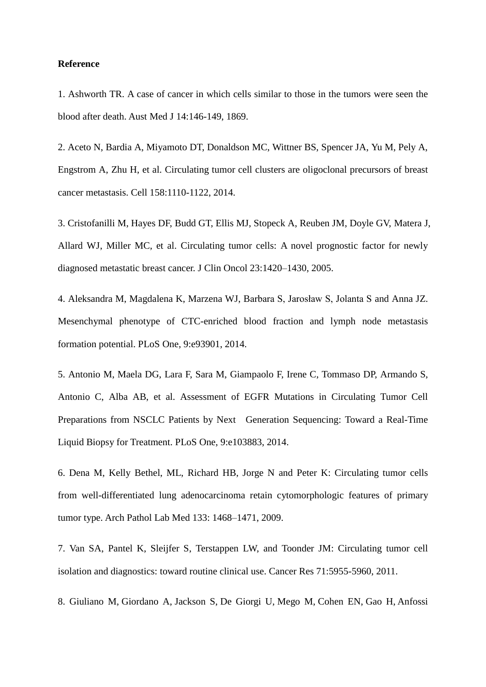#### **Reference**

1. Ashworth TR. A case of cancer in which cells similar to those in the tumors were seen the blood after death. Aust Med J 14:146-149, 1869.

2. Aceto N, Bardia A, Miyamoto DT, Donaldson MC, Wittner BS, Spencer JA, Yu M, Pely A, Engstrom A, Zhu H, et al. Circulating tumor cell clusters are oligoclonal precursors of breast cancer metastasis. Cell 158:1110-1122, 2014.

3. Cristofanilli M, Hayes DF, Budd GT, Ellis MJ, Stopeck A, Reuben JM, Doyle GV, Matera J, Allard WJ, Miller MC, et al. Circulating tumor cells: A novel prognostic factor for newly diagnosed metastatic breast cancer. J Clin Oncol 23:1420–1430, 2005.

4. Aleksandra M, Magdalena K, Marzena WJ, Barbara S, Jarosław S, Jolanta S and Anna JZ. Mesenchymal phenotype of CTC-enriched blood fraction and lymph node metastasis formation potential. PLoS One, 9:e93901, 2014.

5. Antonio M, Maela DG, Lara F, Sara M, Giampaolo F, Irene C, Tommaso DP, Armando S, Antonio C, Alba AB, et al. Assessment of EGFR Mutations in Circulating Tumor Cell Preparations from NSCLC Patients by Next Generation Sequencing: Toward a Real-Time Liquid Biopsy for Treatment. PLoS One, 9:e103883, 2014.

6. Dena M, Kelly Bethel, ML, Richard HB, Jorge N and Peter K: Circulating tumor cells from well-differentiated lung adenocarcinoma retain cytomorphologic features of primary tumor type. Arch Pathol Lab Med 133: 1468–1471, 2009.

7. Van SA, Pantel K, Sleijfer S, Terstappen LW, and Toonder JM: Circulating tumor cell isolation and diagnostics: toward routine clinical use. Cancer Res 71:5955-5960, 2011.

8. [Giuliano M,](http://www.ncbi.nlm.nih.gov/pubmed/?term=Giuliano%20M%5BAuthor%5D&cauthor=true&cauthor_uid=25223629) [Giordano A,](http://www.ncbi.nlm.nih.gov/pubmed/?term=Giordano%20A%5BAuthor%5D&cauthor=true&cauthor_uid=25223629) [Jackson S,](http://www.ncbi.nlm.nih.gov/pubmed/?term=Jackson%20S%5BAuthor%5D&cauthor=true&cauthor_uid=25223629) [De Giorgi U,](http://www.ncbi.nlm.nih.gov/pubmed/?term=De%20Giorgi%20U%5BAuthor%5D&cauthor=true&cauthor_uid=25223629) [Mego M,](http://www.ncbi.nlm.nih.gov/pubmed/?term=Mego%20M%5BAuthor%5D&cauthor=true&cauthor_uid=25223629) [Cohen EN,](http://www.ncbi.nlm.nih.gov/pubmed/?term=Cohen%20EN%5BAuthor%5D&cauthor=true&cauthor_uid=25223629) [Gao H,](http://www.ncbi.nlm.nih.gov/pubmed/?term=Gao%20H%5BAuthor%5D&cauthor=true&cauthor_uid=25223629) [Anfossi](http://www.ncbi.nlm.nih.gov/pubmed/?term=Anfossi%20S%5BAuthor%5D&cauthor=true&cauthor_uid=25223629)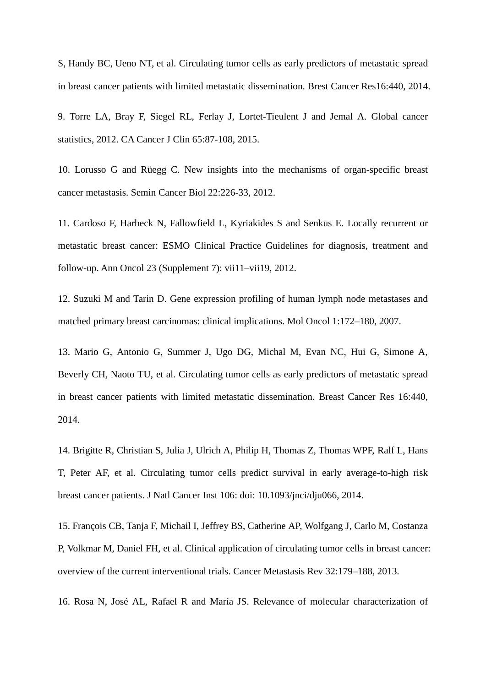[S,](http://www.ncbi.nlm.nih.gov/pubmed/?term=Anfossi%20S%5BAuthor%5D&cauthor=true&cauthor_uid=25223629) [Handy BC,](http://www.ncbi.nlm.nih.gov/pubmed/?term=Handy%20BC%5BAuthor%5D&cauthor=true&cauthor_uid=25223629) [Ueno NT,](http://www.ncbi.nlm.nih.gov/pubmed/?term=Ueno%20NT%5BAuthor%5D&cauthor=true&cauthor_uid=25223629) et al. Circulating tumor cells as early predictors of metastatic spread in breast cancer patients with limited metastatic dissemination. Brest Cancer Res16:440, 2014.

9. Torre LA, Bray F, Siegel RL, Ferlay J, Lortet-Tieulent J and Jemal A. Global cancer statistics, 2012. CA Cancer J Clin 65:87-108, 2015.

10. Lorusso G and Rüegg C. New insights into the mechanisms of organ-specific breast cancer metastasis. Semin Cancer Biol 22:226-33, 2012.

11. Cardoso F, Harbeck N, Fallowfield L, Kyriakides S and Senkus E. Locally recurrent or metastatic breast cancer: ESMO Clinical Practice Guidelines for diagnosis, treatment and follow-up. Ann Oncol 23 (Supplement 7): vii11–vii19, 2012.

12. Suzuki M and Tarin D. Gene expression profiling of human lymph node metastases and matched primary breast carcinomas: clinical implications. Mol Oncol 1:172–180, 2007.

13. Mario G, Antonio G, Summer J, Ugo DG, Michal M, Evan NC, Hui G, Simone A, Beverly CH, Naoto TU, et al. Circulating tumor cells as early predictors of metastatic spread in breast cancer patients with limited metastatic dissemination. Breast Cancer Res 16:440, 2014.

14. Brigitte R, Christian S, Julia J, Ulrich A, Philip H, Thomas Z, Thomas WPF, Ralf L, Hans T, Peter AF, et al. Circulating tumor cells predict survival in early average-to-high risk breast cancer patients. J Natl Cancer Inst 106: doi: 10.1093/jnci/dju066, 2014.

15. François CB, Tanja F, Michail I, Jeffrey BS, Catherine AP, Wolfgang J, Carlo M, Costanza P, Volkmar M, Daniel FH, et al. Clinical application of circulating tumor cells in breast cancer: overview of the current interventional trials. Cancer Metastasis Rev 32:179–188, 2013.

16. Rosa N, José AL, Rafael R and María JS. Relevance of molecular characterization of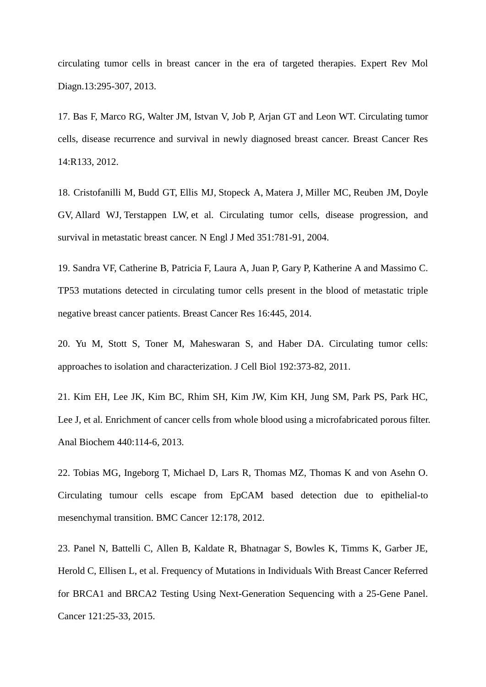circulating tumor cells in breast cancer in the era of targeted therapies. Expert Rev Mol Diagn.13:295-307, 2013.

17. Bas F, Marco RG, Walter JM, Istvan V, Job P, Arjan GT and Leon WT. Circulating tumor cells, disease recurrence and survival in newly diagnosed breast cancer. Breast Cancer Res 14:R133, 2012.

18. [Cristofanilli M,](http://www.ncbi.nlm.nih.gov/pubmed/?term=Cristofanilli%20M%5BAuthor%5D&cauthor=true&cauthor_uid=15317891) [Budd](http://www.ncbi.nlm.nih.gov/pubmed/?term=Budd%20GT%5BAuthor%5D&cauthor=true&cauthor_uid=15317891) GT, [Ellis MJ,](http://www.ncbi.nlm.nih.gov/pubmed/?term=Ellis%20MJ%5BAuthor%5D&cauthor=true&cauthor_uid=15317891) [Stopeck A,](http://www.ncbi.nlm.nih.gov/pubmed/?term=Stopeck%20A%5BAuthor%5D&cauthor=true&cauthor_uid=15317891) [Matera J,](http://www.ncbi.nlm.nih.gov/pubmed/?term=Matera%20J%5BAuthor%5D&cauthor=true&cauthor_uid=15317891) [Miller MC,](http://www.ncbi.nlm.nih.gov/pubmed/?term=Miller%20MC%5BAuthor%5D&cauthor=true&cauthor_uid=15317891) [Reuben JM,](http://www.ncbi.nlm.nih.gov/pubmed/?term=Reuben%20JM%5BAuthor%5D&cauthor=true&cauthor_uid=15317891) [Doyle](http://www.ncbi.nlm.nih.gov/pubmed/?term=Doyle%20GV%5BAuthor%5D&cauthor=true&cauthor_uid=15317891)  [GV,](http://www.ncbi.nlm.nih.gov/pubmed/?term=Doyle%20GV%5BAuthor%5D&cauthor=true&cauthor_uid=15317891) [Allard WJ,](http://www.ncbi.nlm.nih.gov/pubmed/?term=Allard%20WJ%5BAuthor%5D&cauthor=true&cauthor_uid=15317891) [Terstappen LW,](http://www.ncbi.nlm.nih.gov/pubmed/?term=Terstappen%20LW%5BAuthor%5D&cauthor=true&cauthor_uid=15317891) [et](http://www.ncbi.nlm.nih.gov/pubmed/?term=Hayes%20DF%5BAuthor%5D&cauthor=true&cauthor_uid=15317891) al. Circulating tumor cells, disease progression, and survival in metastatic breast cancer. N Engl J Med 351:781-91, 2004.

19. Sandra VF, Catherine B, Patricia F, Laura A, Juan P, Gary P, Katherine A and Massimo C. TP53 mutations detected in circulating tumor cells present in the blood of metastatic triple negative breast cancer patients. Breast Cancer Res 16:445, 2014.

20. Yu M, Stott S, Toner M, Maheswaran S, and Haber DA. Circulating tumor cells: approaches to isolation and characterization. J Cell Biol 192:373-82, 2011.

21. Kim EH, Lee JK, Kim BC, Rhim SH, Kim JW, Kim KH, Jung SM, Park PS, Park HC, Lee J, et al. Enrichment of cancer cells from whole blood [using a microfabricated](http://www.ncbi.nlm.nih.gov/pubmed/23747280) porous filter. Anal Biochem 440:114-6, 2013.

22. Tobias MG, Ingeborg T, Michael D, Lars R, Thomas MZ, Thomas K and von Asehn O. Circulating tumour cells escape from EpCAM based detection due to epithelial-to mesenchymal transition. BMC Cancer 12:178, 2012.

23. Panel N, Battelli C, Allen B, Kaldate R, Bhatnagar S, Bowles K, Timms K, Garber JE, Herold C, Ellisen L, et al. Frequency of Mutations in Individuals With Breast Cancer Referred for BRCA1 and BRCA2 Testing Using Next-Generation Sequencing with a 25-Gene Panel. Cancer 121:25-33, 2015.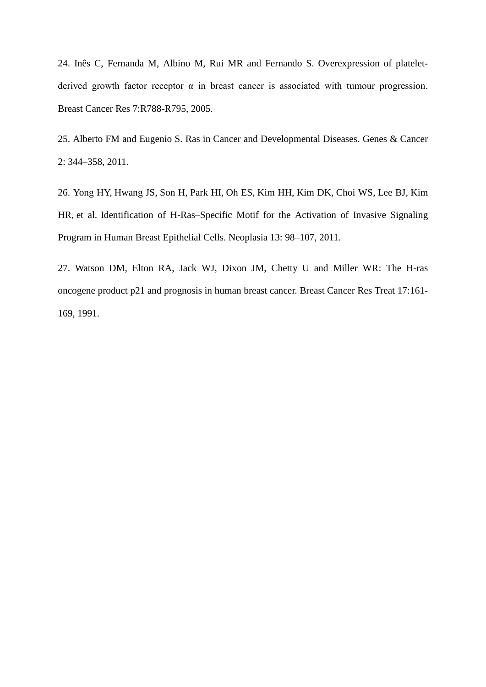24. Inês C, Fernanda M, Albino M, Rui MR and Fernando S. Overexpression of plateletderived growth factor receptor  $\alpha$  in breast cancer is associated with tumour progression. Breast Cancer Res 7:R788-R795, 2005.

25. Alberto FM and Eugenio S. Ras in Cancer and Developmental Diseases. Genes & Cancer 2: 344–358, 2011.

26. [Yong HY,](http://www.ncbi.nlm.nih.gov/pubmed/?term=Yong%20HY%5BAuthor%5D&cauthor=true&cauthor_uid=21403836) [Hwang JS,](http://www.ncbi.nlm.nih.gov/pubmed/?term=Hwang%20JS%5BAuthor%5D&cauthor=true&cauthor_uid=21403836) [Son H,](http://www.ncbi.nlm.nih.gov/pubmed/?term=Son%20H%5BAuthor%5D&cauthor=true&cauthor_uid=21403836) [Park HI,](http://www.ncbi.nlm.nih.gov/pubmed/?term=Park%20HI%5BAuthor%5D&cauthor=true&cauthor_uid=21403836) [Oh ES,](http://www.ncbi.nlm.nih.gov/pubmed/?term=Oh%20ES%5BAuthor%5D&cauthor=true&cauthor_uid=21403836) [Kim HH,](http://www.ncbi.nlm.nih.gov/pubmed/?term=Kim%20HH%5BAuthor%5D&cauthor=true&cauthor_uid=21403836) [Kim DK,](http://www.ncbi.nlm.nih.gov/pubmed/?term=Kim%20do%20K%5BAuthor%5D&cauthor=true&cauthor_uid=21403836) [Choi WS,](http://www.ncbi.nlm.nih.gov/pubmed/?term=Choi%20WS%5BAuthor%5D&cauthor=true&cauthor_uid=21403836) [Lee BJ,](http://www.ncbi.nlm.nih.gov/pubmed/?term=Lee%20BJ%5BAuthor%5D&cauthor=true&cauthor_uid=21403836) [Kim](http://www.ncbi.nlm.nih.gov/pubmed/?term=Kim%20HR%5BAuthor%5D&cauthor=true&cauthor_uid=21403836)  [HR,](http://www.ncbi.nlm.nih.gov/pubmed/?term=Kim%20HR%5BAuthor%5D&cauthor=true&cauthor_uid=21403836) [et](http://www.ncbi.nlm.nih.gov/pubmed/?term=Moon%20A%5BAuthor%5D&cauthor=true&cauthor_uid=21403836) al. Identification of H-Ras–Specific Motif for the Activation of Invasive Signaling Program in Human Breast Epithelial Cells. Neoplasia 13: 98–107, 2011.

27. Watson DM, Elton RA, Jack WJ, Dixon JM, Chetty U and Miller WR: The H-ras oncogene product p21 and prognosis in human breast cancer. Breast Cancer Res Treat 17:161- 169, 1991.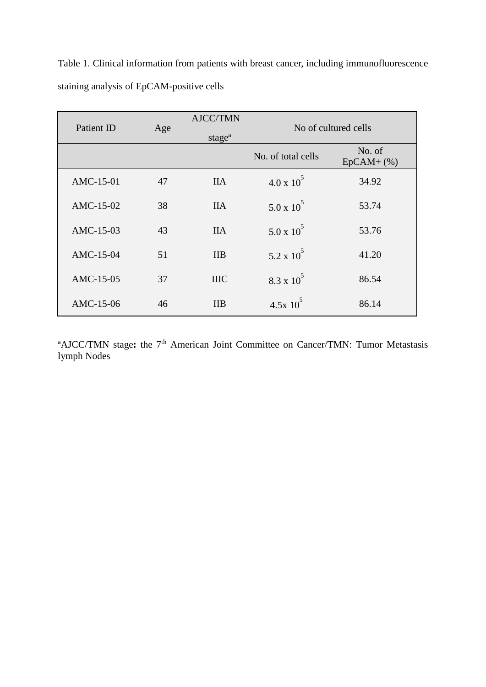Table 1. Clinical information from patients with breast cancer, including immunofluorescence staining analysis of EpCAM-positive cells

| Patient ID | Age | <b>AJCC/TMN</b><br>stage <sup>a</sup> | No of cultured cells |                       |
|------------|-----|---------------------------------------|----------------------|-----------------------|
|            |     |                                       | No. of total cells   | No. of<br>$EpCAM+(%)$ |
| AMC-15-01  | 47  | <b>IIA</b>                            | $4.0 \times 10^{3}$  | 34.92                 |
| AMC-15-02  | 38  | <b>IIA</b>                            | $5.0 \times 10^5$    | 53.74                 |
| AMC-15-03  | 43  | <b>IIA</b>                            | $5.0 \times 10^5$    | 53.76                 |
| AMC-15-04  | 51  | <b>IIB</b>                            | $5.2 \times 10^5$    | 41.20                 |
| AMC-15-05  | 37  | <b>IIIC</b>                           | $8.3 \times 10^5$    | 86.54                 |
| AMC-15-06  | 46  | <b>IIB</b>                            | $4.5x10^5$           | 86.14                 |

<sup>a</sup>AJCC/TMN stage: the 7<sup>th</sup> American Joint Committee on Cancer/TMN: Tumor Metastasis lymph Nodes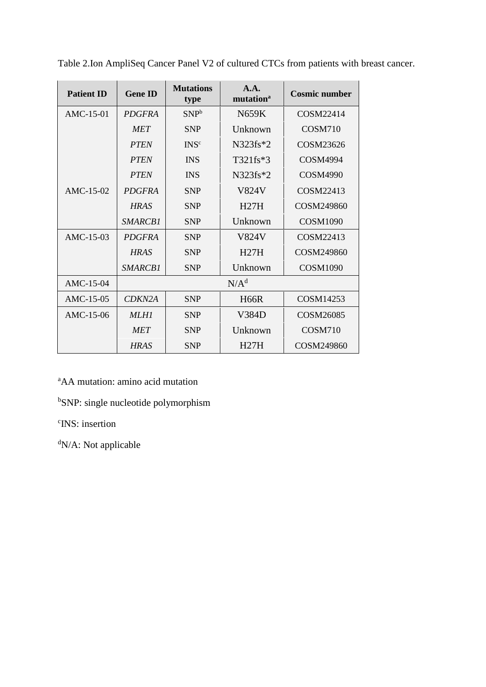| <b>Patient ID</b> | <b>Gene ID</b>   | <b>Mutations</b><br>type | A.A.<br>mutation <sup>a</sup> | <b>Cosmic number</b>             |  |
|-------------------|------------------|--------------------------|-------------------------------|----------------------------------|--|
| $AMC-15-01$       | <b>PDGFRA</b>    | SNP <sup>b</sup>         | <b>N659K</b>                  | COSM22414                        |  |
|                   | <b>MET</b>       | <b>SNP</b>               | Unknown                       | COSM710<br>COSM23626<br>COSM4994 |  |
|                   | <b>PTEN</b>      | INS <sup>c</sup>         | $N323fs*2$                    |                                  |  |
|                   | <b>PTEN</b>      | <b>INS</b>               | T321fs*3                      |                                  |  |
|                   | <b>PTEN</b>      | <b>INS</b>               | $N323fs*2$                    | <b>COSM4990</b>                  |  |
| $AMC-15-02$       | <b>PDGFRA</b>    | <b>SNP</b>               | V824V                         | COSM22413                        |  |
|                   | <b>HRAS</b>      | <b>SNP</b>               | H27H                          | COSM249860                       |  |
|                   | <i>SMARCB1</i>   | <b>SNP</b>               | Unknown                       | <b>COSM1090</b>                  |  |
| $AMC-15-03$       | <b>PDGFRA</b>    | <b>SNP</b>               | V824V                         | COSM22413                        |  |
|                   | <b>HRAS</b>      | <b>SNP</b>               | H27H                          | COSM249860                       |  |
|                   | SMARCB1          | <b>SNP</b>               | Unknown                       | <b>COSM1090</b>                  |  |
| AMC-15-04         | N/A <sup>d</sup> |                          |                               |                                  |  |
| AMC-15-05         | CDKN2A           | <b>SNP</b>               | <b>H66R</b>                   | COSM14253                        |  |
| AMC-15-06         | MLH1             | <b>SNP</b>               | V384D                         | COSM26085                        |  |
|                   | <b>MET</b>       | <b>SNP</b>               | Unknown                       | COSM710                          |  |
|                   | <b>HRAS</b>      | <b>SNP</b>               | H27H                          | COSM249860                       |  |

Table 2.Ion AmpliSeq Cancer Panel V2 of cultured CTCs from patients with breast cancer.

<sup>a</sup>AA mutation: amino acid mutation

<sup>b</sup>SNP: single nucleotide polymorphism

c INS: insertion

<sup>d</sup>N/A: Not applicable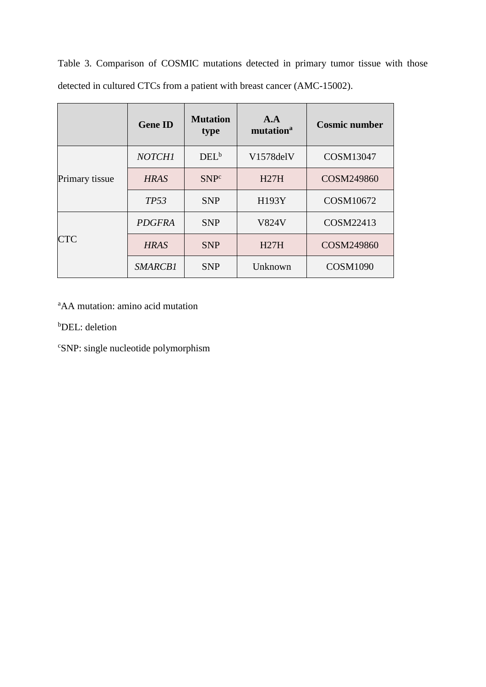Table 3. Comparison of COSMIC mutations detected in primary tumor tissue with those detected in cultured CTCs from a patient with breast cancer (AMC-15002).

|                | <b>Gene ID</b> | <b>Mutation</b><br>type | A.A<br>mutation <sup>a</sup> | <b>Cosmic number</b> |
|----------------|----------------|-------------------------|------------------------------|----------------------|
| Primary tissue | <b>NOTCH1</b>  | $DEL^b$                 | V1578delV                    | COSM13047            |
|                | <b>HRAS</b>    | SNP <sup>c</sup>        | H27H                         | COSM249860           |
|                | TP53           | <b>SNP</b>              | H193Y                        | COSM10672            |
| <b>CTC</b>     | <b>PDGFRA</b>  | <b>SNP</b>              | <b>V824V</b>                 | COSM22413            |
|                | <b>HRAS</b>    | <b>SNP</b>              | H27H                         | COSM249860           |
|                | SMARCB1        | <b>SNP</b>              | Unknown                      | <b>COSM1090</b>      |

<sup>a</sup>AA mutation: amino acid mutation

<sup>b</sup>DEL: deletion

<sup>c</sup>SNP: single nucleotide polymorphism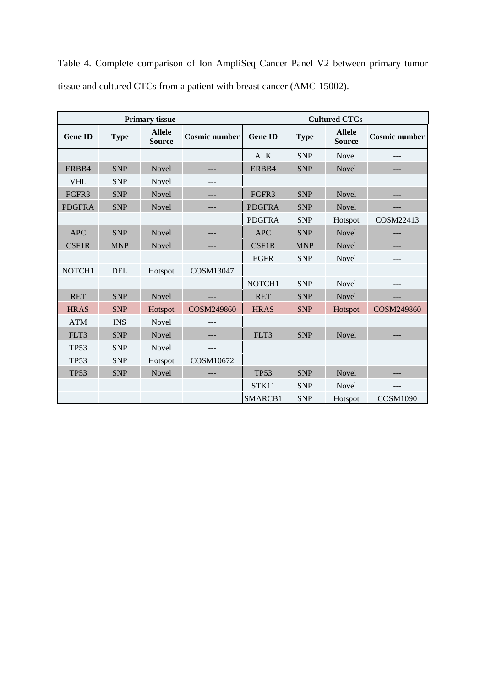|                |             | <b>Primary tissue</b>          |                      |                |             | <b>Cultured CTCs</b>           |                      |
|----------------|-------------|--------------------------------|----------------------|----------------|-------------|--------------------------------|----------------------|
| <b>Gene ID</b> | <b>Type</b> | <b>Allele</b><br><b>Source</b> | <b>Cosmic number</b> | <b>Gene ID</b> | <b>Type</b> | <b>Allele</b><br><b>Source</b> | <b>Cosmic number</b> |
|                |             |                                |                      | <b>ALK</b>     | <b>SNP</b>  | Novel                          |                      |
| ERBB4          | <b>SNP</b>  | Novel                          | ---                  | ERBB4          | <b>SNP</b>  | Novel                          | ---                  |
| <b>VHL</b>     | <b>SNP</b>  | <b>Novel</b>                   | ---                  |                |             |                                |                      |
| FGFR3          | <b>SNP</b>  | Novel                          | ---                  | FGFR3          | <b>SNP</b>  | Novel                          |                      |
| <b>PDGFRA</b>  | <b>SNP</b>  | Novel                          |                      | <b>PDGFRA</b>  | <b>SNP</b>  | Novel                          |                      |
|                |             |                                |                      | <b>PDGFRA</b>  | <b>SNP</b>  | Hotspot                        | COSM22413            |
| <b>APC</b>     | <b>SNP</b>  | Novel                          |                      | <b>APC</b>     | <b>SNP</b>  | Novel                          | ---                  |
| <b>CSF1R</b>   | <b>MNP</b>  | Novel                          | ---                  | <b>CSF1R</b>   | <b>MNP</b>  | Novel                          | ---                  |
|                |             |                                |                      | <b>EGFR</b>    | <b>SNP</b>  | Novel                          | ---                  |
| NOTCH1         | <b>DEL</b>  | Hotspot                        | COSM13047            |                |             |                                |                      |
|                |             |                                |                      | NOTCH1         | <b>SNP</b>  | <b>Novel</b>                   | ---                  |
| <b>RET</b>     | <b>SNP</b>  | Novel                          |                      | <b>RET</b>     | <b>SNP</b>  | Novel                          |                      |
| <b>HRAS</b>    | <b>SNP</b>  | Hotspot                        | <b>COSM249860</b>    | <b>HRAS</b>    | <b>SNP</b>  | Hotspot                        | COSM249860           |
| <b>ATM</b>     | <b>INS</b>  | <b>Novel</b>                   | ---                  |                |             |                                |                      |
| FLT3           | <b>SNP</b>  | Novel                          |                      | FLT3           | <b>SNP</b>  | Novel                          |                      |
| <b>TP53</b>    | <b>SNP</b>  | Novel                          | ---                  |                |             |                                |                      |
| <b>TP53</b>    | <b>SNP</b>  | Hotspot                        | COSM10672            |                |             |                                |                      |
| <b>TP53</b>    | <b>SNP</b>  | Novel                          |                      | <b>TP53</b>    | <b>SNP</b>  | Novel                          |                      |
|                |             |                                |                      | STK11          | <b>SNP</b>  | Novel                          | ---                  |
|                |             |                                |                      | SMARCB1        | <b>SNP</b>  | Hotspot                        | <b>COSM1090</b>      |

Table 4. Complete comparison of Ion AmpliSeq Cancer Panel V2 between primary tumor tissue and cultured CTCs from a patient with breast cancer (AMC-15002).